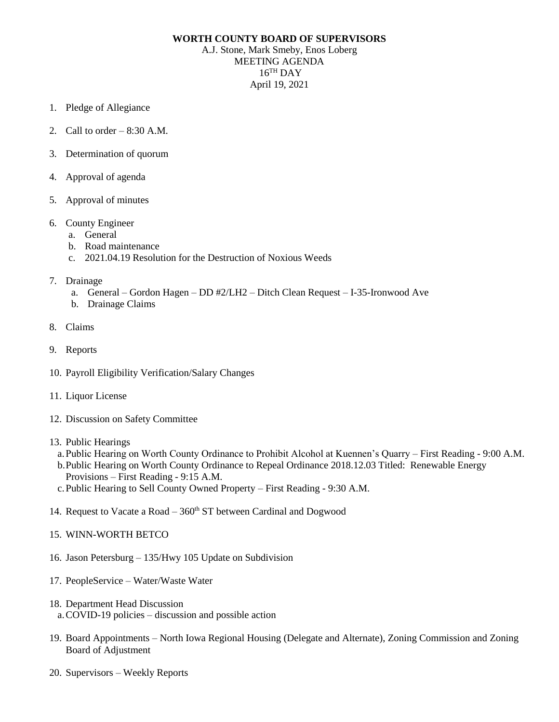## **WORTH COUNTY BOARD OF SUPERVISORS**

A.J. Stone, Mark Smeby, Enos Loberg MEETING AGENDA 16 TH DAY April 19, 2021

- 1. Pledge of Allegiance
- 2. Call to order  $-8:30$  A.M.
- 3. Determination of quorum
- 4. Approval of agenda
- 5. Approval of minutes
- 6. County Engineer
	- a. General
	- b. Road maintenance
	- c. 2021.04.19 Resolution for the Destruction of Noxious Weeds
- 7. Drainage
	- a. General Gordon Hagen DD #2/LH2 Ditch Clean Request I-35-Ironwood Ave
	- b. Drainage Claims
- 8. Claims
- 9. Reports
- 10. Payroll Eligibility Verification/Salary Changes
- 11. Liquor License
- 12. Discussion on Safety Committee
- 13. Public Hearings
	- a.Public Hearing on Worth County Ordinance to Prohibit Alcohol at Kuennen's Quarry First Reading 9:00 A.M.
	- b.Public Hearing on Worth County Ordinance to Repeal Ordinance 2018.12.03 Titled: Renewable Energy Provisions – First Reading - 9:15 A.M.
	- c.Public Hearing to Sell County Owned Property First Reading 9:30 A.M.
- 14. Request to Vacate a Road  $-360<sup>th</sup>$  ST between Cardinal and Dogwood
- 15. WINN-WORTH BETCO
- 16. Jason Petersburg 135/Hwy 105 Update on Subdivision
- 17. PeopleService Water/Waste Water
- 18. Department Head Discussion
	- a.COVID-19 policies discussion and possible action
- 19. Board Appointments North Iowa Regional Housing (Delegate and Alternate), Zoning Commission and Zoning Board of Adjustment
- 20. Supervisors Weekly Reports